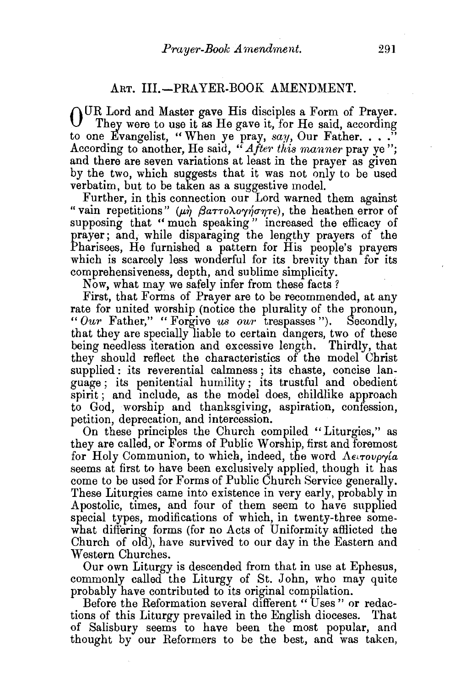## ART. III.-PRAYER-BOOK AMENDMENT.

OUR Lord and Master gave His disciples a Form of Prayer. They were to use it as He gave it, for He said, according to one Evangelist, "When ye pray, *say*, Our Father. . . ." According to another, He said, "After this manner pray ye"; and there are seven variations at least in the prayer as given by the two, which suggests that it was not only to be used verbatim, but to be taken as a suggestive model.

Further, in this connection our Lord warned them against " vain repetitions" ( $\mu \dot{\eta}$   $\beta a \tau \tau o \lambda o \gamma \eta \sigma \eta \tau \epsilon$ ), the heathen error of supposing that " much speaking " increased the efficacy of prayer; and, while disparaging the lengthy prayers of the Pharisees, He furnished a pattern for His people's prayers which is scarcely less wonderful for its brevity than for its comprehensiveness, depth, and sublime simplicity.

Now, what may we safely infer from these facts?

First, that Forms of Prayer are to be recommended, at any rate for united worship (notice the plurality of the pronoun, " Our Father," "Forgive us our trespasses"). Secondly, that they are specially liable to certain dangers, two of these being needless iteration and excessive length. Thirdly, that they should reflect the characteristics of the model Christ supplied: its reverential calmness; its chaste, concise language; its penitential humility; its trustful and obedient spirit; and include, as the model does, childlike approach to God, worship and thanksgiving, aspiration, confession, petition, deprecation, and intercession.

On these principles the Church compiled "Liturgies," as they are called, or Forms of Public Worship, first and foremost for Holy Communion, to which, indeed, the word  $\Lambda_{\epsilon\mu}$ seems at first to have been exclusively applied, though it has come to be used for Forms of Public Church Service generally. These Liturgies came into existence in very early, probably in Apostolic, times, and four of them seem to have supplied special types, modifications of which, in twenty-three somewhat differing forms (for no Acts of Uniformity afflicted the Church of old), have survived to our day in the Eastern and Western Churches.

Our own Liturgy is descended from that in use at Ephesus, commonly called the Liturgy of St. John, who may quite probably have contributed to its original compilation.

Before the Reformation several different " Uses " or redactions of this Liturgy prevailed in the English dioceses. That of Salisbury seems to have been the most popular, and thought by our Reformers to be the best, and was taken,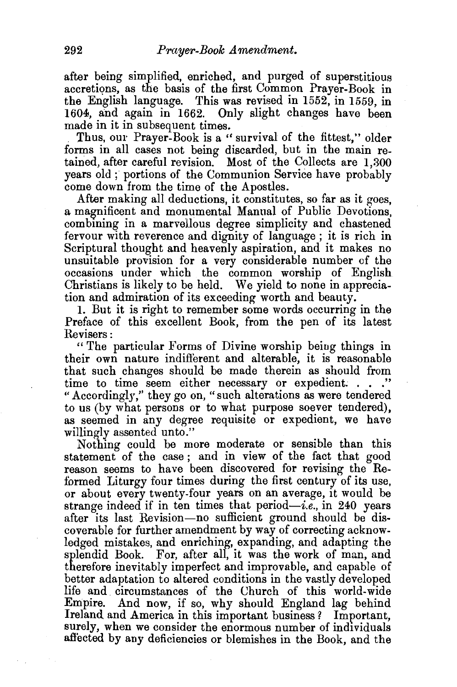after being simplified, enriched, and purged of superstitious accretions, as the basis of the first Common Prayer-Book in the English language. This was revised in 1552, in 1559, in 1604, and again in 1662. Only slight changes have been made in it in subsequent times.

Thus, our Prayer-Book is a "survival of the fittest," older forms in all cases not being discarded, but in the main retained, after careful revision. Most of the Collects are 1,300 years old; portions of the Communion Service have probably come down from the time of the Apostles.

After making all deductions, it constitutes, so far as it goes, a magnificent and monumental Manual of Public Devotions, combining in a marvellous degree simplicity and chastened fervour with reverence and dignity of language ; it is rich in Scriptural thought and heavenly aspiration, and it makes no unsuitable provision for a very considerable number of the occasions under which the common worship of English Christians is likely to be held. We yield to none in appreciation and admiration of its exceeding worth and beauty.

1. But it is right to remember some words occurring in the Preface of this excellent Book, from the pen of its latest Revisers:

"The particular Forms of Divine worship being things in their own nature indifferent and alterable, it is reasonable that such changes should be made therein as should from time to time seem either necessary or expedient. . . ." "Accordingly," they go on, "such alterations as were tendered to us (by what persons or to what purpose soever tendered), as seemed in any degree requisite or expedient, we have willingly assented unto."

Nothing could be more moderate or sensible than this statement of the case; and in view of the fact that good reason seems to have been discovered for revising the Reformed Liturgy four times during the first century of its use, or about every twenty-four years on an average, it would be strange indeed if in ten times that period—*i.e.*, in 240 years after its last Revision-no sufficient ground should be discoverable for further amendment by way of correcting acknowledged mistakes, and enriching, expanding, and adapting the splendid Book. For, after all, it was the work of man, and therefore inevitably imperfect and improvable, and capable of better adaptation to altered conditions in the vastly developed life and circumstances of the Uhurch of this world-wide Empire. And now, if so, why should England lag behind Ireland and America in this important business ? Important, surely, when we consider the enormous number of individuals affected by any deficiencies or blemishes in the Book, and the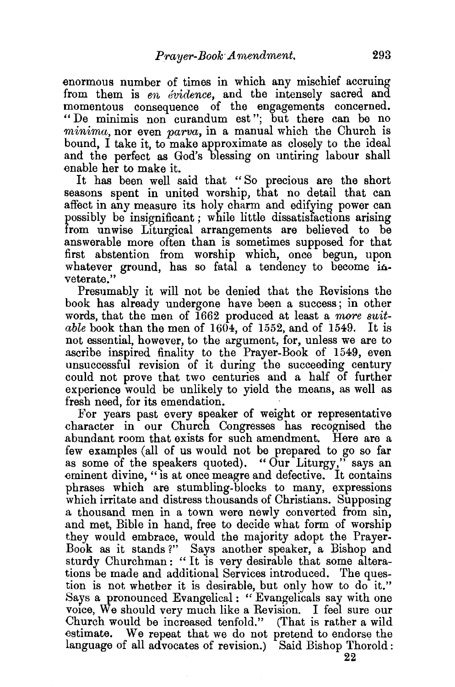enormous number of times in which any mischief accruing from them is *en evidence,* and the intensely sacred and momentous consequence of the engagements concerned. "De minimis non curandum est"; but there can be no *minima,* nor even *parva,* in a manual which the Church is bound, I take it, to make approximate as closely to the ideal and the perfect as God's blessing on untiring labour shall enable her to make it.

It has been well said that " So precious are the short seasons spent in united worship, that no detail that can affect in any measure its holy charm and edifying power can possibly be insignificant; while little dissatisfactions arising from unwise Liturgical arrangements are believed to be answerable more often than is sometimes supposed for that first abstention from worship which, once begun, upon whatever ground, has so fatal a tendency to become inveterate."

Presumably it will not be denied that the Revisions the book has already undergone have been a success; in other words, that the men of 1662 produced at least a *more suitable* book than the men of  $1604$ , of 1552, and of 1549. It is not essential, however, to the argument, for, unless we are to ascribe inspired finality to the Prayer-Book of 1549, even unsuccessful revision of it during the succeeding century could not prove that two centuries and a half of further experience would be unlikely to yield the means, as well as fresh need, for its emendation.

For years past every speaker of weight or representative character in our Church Congresses has recognised the abundant room that exists for such amendment. Here are a few examples (all of us would not be prepared to go so far as some of the speakers quoted). "Our Liturgy," says an eminent divine, "is at once meagre and defective. It contains phrases which are stumbling-blocks to many, expressions which irritate and distress thousands of Christians. Supposing a thousand men in a town were newly converted from sin, and met, Bible in hand, free to decide what form of worship they would embrace, would the majority adopt the Prayer-Book as it stands?" Says another speaker, a Bishop and sturdy Churchman : " It is very desirable that some alterations be made and additional Services introduced. The question is not whether it is desirable, but only how to do it." Says a pronounced Evangelical: "Evangelicals say with one voice, We should very much like a Revision. I feel sure our Church would be increased tenfold." (That is rather a wild estimate. We repeat that we do not pretend to endorse the language of all advocates of revision.) Said Bishop Thorold:

22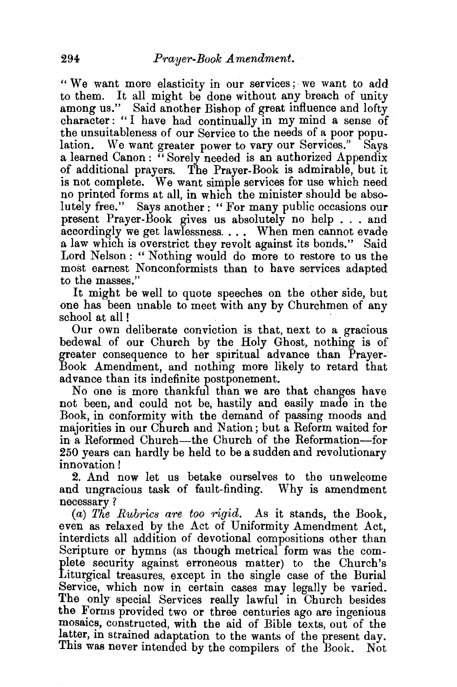" We want more elasticity in our services; we want to add to them. It all might be done without any breach of unity among us." Said another Bishop of great influence and lofty character: "I have had continually in my mind a sense of the unsuitableness of our Service to the needs of a poor population. We want greater power to vary our Services." Says a learned Canon : "Sorely needed is an authorized Appendix of additional prayers. The Prayer-Book is admirable, but it is not complete. We want simple services for use which need no printed forms at all, in which the minister should be absolutely free." Says another: "For many public occasions our present Prayer-Book gives us absolutely no help ... and accordingly we get lawlessness. . . . When men cannot evade a law which is overstrict they revolt against its bonds." Said Lord Nelson : " Nothing would do more to restore to us the most earnest Nonconformists than to have services adapted to the masses."

It might be well to quote speeches on the other side, but one has been unable to meet with any by Churchmen of any school at all!

Our own deliberate conviction is that, next to a gracious bedewal of our Church by the Holy Ghost, nothing is of greater consequence to her spiritual advance than Prayer-Book Amendment, and nothing more likely to retard that advance than its indefinite postponement.

No one is more thankful than we are that changes have not been, and could not be, hastily and easily made in the Book, in conformity with the demand of passing moods and majorities in our Church and Nation; but a Reform waited for in a Reformed Church-the Church of the Reformation-for 250 years can hardly be held to be a sudden and revolutionary innovation l

2. And now let us betake ourselves to the unwelcome and ungracious task of fault-finding. Why is amendment necessary?

(a) *The Rubrics are too rigid.* As it stands, the Book, even as relaxed by the Act of Uniformity Amendment Act, interdicts all addition of devotional compositions other than Scripture or hymns (as though metrical form was the complete security against erroneous matter) to the Church's Liturgical treasures, except in the single case of the Burial Service, which now in certain cases may legally be varied. **The** only special Services really lawful in Church besides the Forms provided two or three centuries ago are ingenious mosaics, constructed, with the aid of Bible texts, out of the latter, in strained adaptation to the wants of the present day. This was never intended by the compilers of the Book. Not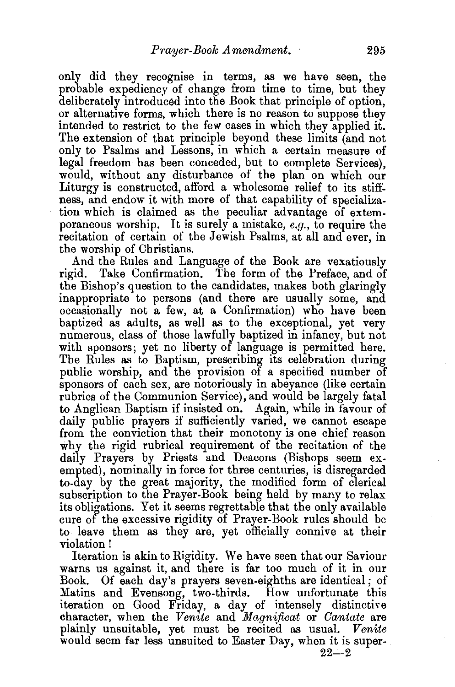only did they recognise in terms, as we have seen, the probable expediency of change from time to time, but they deliberately introduced into the Book that principle of option, or alternative forms, which there is no reason to suppose they intended to restrict to the few cases in which they applied it. The extension of that principle beyond these limits (and not only to Psalms and Lessons, in which a certain measure of legal freedom has been conceded, but to complete Services), would, without any disturbance of the plan on which our Liturgy is constructed, afford a wholesome relief to its stiffness, and endow it with more of that capability of specialization which is claimed as the peculiar advantage of extemporaneous worship. It is surely a mistake, *e.g.,* to require the recitation of certain of the Jewish Psalms, at all and ever, in the worship of Christians.

And the Rules and Language of the Book are vexatiously rigid. Take Confirmation. The form of the Preface, and of the Bishop's question to the candidates, makes both glaringly inappropriate to persons (and there are usually some, and occasionally not a few, at a Confirmation) who have been baptized as adults, as well as to the exceptional, yet very numerous, class of those lawfully baptized in infancy, but not with sponsors; yet no liberty of language is permitted here. The Rules as to Baptism, prescribing its celebration during public worship, and the provision of a specified number of sponsors of each sex, are notoriously in abeyance (like certain rubrics of the Communion Service), and would be largely fatal to Anglican Baptism if insisted on. Again, while in tavour of daily public prayers if sufficiently varied, we cannot escape from the conviction that their monotony is one chief reason why the rigid rubrical requirement of the recitation of the daily Prayers by Priests and Deacons (Bishops seem exempted), nominally in force for three centuries, is disregarded to-day by the great majority, the modified form of clerical subscription to the Prayer-Book being held by many to relax its obligations. Yet it seems regrettable that the only available cure of the excessive rigidity of Prayer-Book rules should be to leave them as they are, yet officially connive at their violation!

Iteration is akin to Rigidity. We have seen that our Saviour warns us against it, and there is far too much of it in our Book. Of each day's prayers seven-eighths are identical ; of Matins and Evensong, two-thirds. How unfortunate this iteration on Good Friday, a day of intensely distinctive character, when the *Venite* and *Magnificat* or *Cantate* are plainly unsuitable, yet must be recited as usual. *Venite*  would seem far less unsuited to Easter Day, when it is super-

 $22 - 2$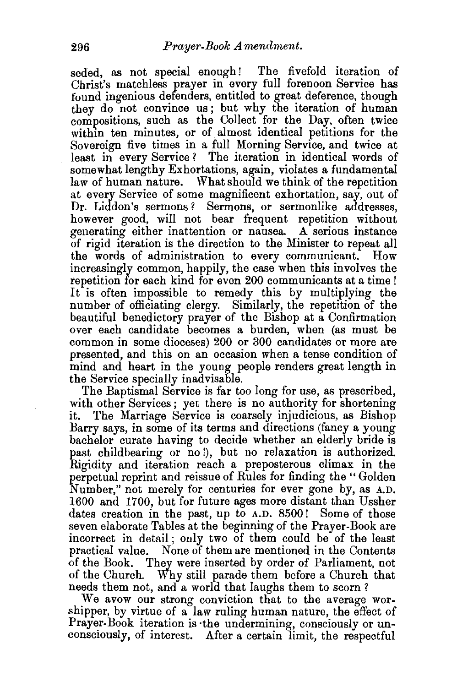seded, as not special enough! The fivefold iteration of Christ's matchless prayer in every full forenoon Service has found ingenious defenders, entitled to great deference, though they do not convince us; but why the iteration of human compositions, such as the Collect for the Day, often twice within ten minutes, or of almost identical petitions for the Sovereign five times in a full Morning Service, and twice at least in every Service ? The iteration in identical words of somewhat lengthy Exhortations, again, violates a fundamental law of human nature. What should we think of the repetition at every Service of some magnificent exhortation, say, out of Dr. Liddon's sermons? Sermons, or sermonlike addresses, however good, will not bear frequent repetition without generating either inattention or nausea. A serious instance of rigid iteration is the direction to the Minister to repeat all the words of administration to every communicant. How increasingly common, happily, the case when this involves the repetition for each kind for even 200 communicants at a time ! It is often impossible to remedy this by multiplying the number of officiating clergy. Similarly, the repetition of the beautiful benedictory prayer of the Bishop at a Confirmation over each candidate becomes a burden, when (as must be common in some dioceses) 200 or 300 candidates or more are presented, and this on an occasion when a tense condition of mind and heart in the young people renders great length in the Service specially inadvisable.

The Baptismal Service is far too long for use, as prescribed, with other Services; yet there is no authority for shortening it. The Marriage Service is coarsely injudicious, as Bishop Barry says, in some of its terms and directions (fancy a young bachelor curate having to decide whether an elderly bride is past childbearing or no!), but no relaxation is authorized. Rigidity and iteration reach a preposterous climax in the perpetual reprint and reissue of Rules for finding the "Golden Number," not merely for centuries for ever gone by, as A.D. 1600 and 1700, but for future ages more distant than Ussher dates creation in the past, up to A.D. 8500! Some of those seven elaborate Tables at the beginning of the Prayer-Book are incorrect in detail ; only two of them could be of the least practical value. None of them are mentioned in the Contents of the Book. They were inserted by order of Parliament, not of the Church. Why still parade them before a Church that needs them not, and a world that laughs them to scorn ?

We avow our strong conviction that to the average worshipper, by virtue of a law ruling human nature, the effect of Prayer-Book iteration is ·the undermining, consciously or unconsciously, of interest. After a certain limit, the respectful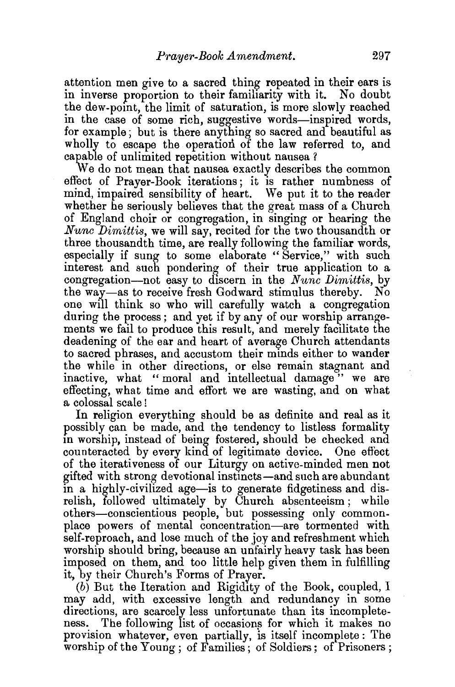attention men give to a sacred thing repeated in their ears is in inverse proportion to their familiarity with it. No doubt the dew-point, the limit of saturation, is more slowly reached in the case of some rich, suggestive words-inspired words, for example; but is there anything so sacred and beautiful as wholly to escape the operation of the law referred to, and capable of unlimited repetition without nausea ?

We do not mean that nausea exactly describes the common effect of Prayer-Book iterations; it is rather numbness of mind, impaired sensibility of heart. We put it to the reader whether he seriously believes that the great mass of a Church of England choir or congregation, in singing or hearing the *Nunc Dimittis,* we will say, recited for the two thousandth or three thousandth time, are really following the familiar words, especially if sung to some elaborate "Service," with such interest and such pondering of their true application to a congregation-not easy to discern in the *Nunc Dimittis,* by the way-as to receive fresh Godward stimulus thereby. No one will think so who will carefully watch a congregation during the process ; and yet if by any of our worship arrangements we fail to produce this result, and merely facilitate the deadening of the ear and heart of average Church attendants to sacred phrases, and accustom their minds either to wander the while in other directions, or else remain stagnant and inactive, what "moral and intellectual damage" we are effecting, what time and effort we are wasting, and on what a colossal scale !

In religion everything should be as definite and real as it possibly can be made, and the tendency to listless formality in worship, instead of being fostered, should be checked and counteracted by every kind of legitimate device. One effect of the iterativeness of our Liturgy on active-minded men not gifted with strong devotional instincts-and such are abundant in a highly-civilized age—is to generate fidgetiness and disrelish, followed ultimately by Church absenteeism; while others-conscientious people, but possessing only commonplace powers of mental concentration-are tormented with self-reproach, and lose much of the joy and refreshment which worship should bring, because an unfairly heavy task has been imposed on them, and too little help given them in fulfilling it, by their Church's Forms of Prayer.

(b) But the Iteration and Rigidity of the Book, coupled, I may add, with excessive length and redundancy in some directions, are scarcely less unfortunate than its incompleteness. The following list of occasions for which it makes no provision whatever, even partially, is itself incomplete: The worship of the Young; of Families; of Soldiers; of Prisoners ;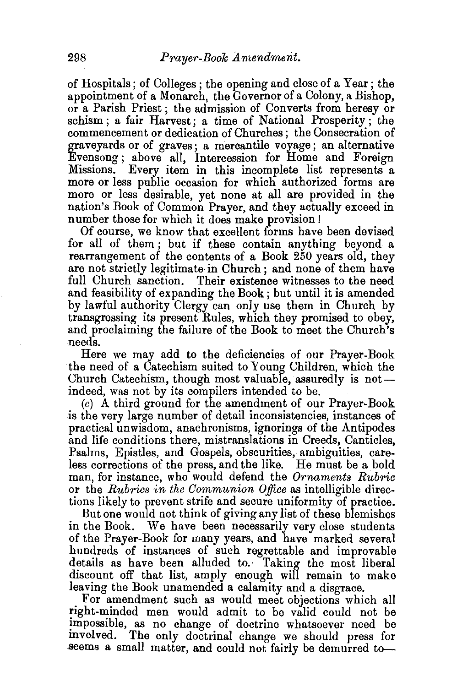of Hospitals; of Colleges ; the opening and close of a Year; the appointment of a Monarch, the Governor of a Colony, a Bishop, or a Parish Priest ; the admission of Converts from heresy or schism; a fair Harvest; a time of National Prosperity; the commencement or dedication of Churches; the Consecration of graveyards or of graves; a mercantile voyage; an alternative Evensong; above all, Intercession for Home and Foreign Missions. Every item in this incomplete list represents a Every item in this incomplete list represents a more or less public occasion for which authorized forms are more or less desirable, yet none at all are provided in the nation's Book of Common Prayer, and they actually exceed in number those for which it does make provision!

Of course, we know that excellent forms have been devised for all of them ; but if these contain anything beyond a rearrangement of the contents of a Book 250 years old, they are not strictly legitimate in Church; and none of them have full Church sanction. Their existence witnesses to the need and feasibility of expanding the Book; but until it is amended by lawful authority Clergy can only use them in Church by transgressing its present Rules, which they promised to obey, and proclaiming the failure of the Book to meet the Church's needs.

Here we may add to the deficiencies of our Prayer-Book the need of a Catechism suited to Young Children, which the Church Catechism, though most valuable, assuredly is notindeed, was not by its compilers intended to be.

(c) A third ground for the amendment of our Prayer-Book is the very large number of detail inconsistencies, instances of practical unwisdom, anachronisms, ignorings of the Antipodes and life conditions there, mistranslations in Creeds, Canticles, Psalms, Epistles, and Gospels, obscurities, ambiguities, careless corrections of the press, and the like. He must be a bold man, for instance, who would defend the *Ornaments Rubric*  or the *Rubrics in the Communion Office* as intelligible directions likely to prevent strife and secure uniformity of practice.

But one would not think of giving any list of these blemishes in the Book. We have been necessarily very close students of the Prayer-Book for many years, and have marked several hundreds of instances of such regrettable and improvable details as have been alluded to. Taking the most liberal discount off that list, amply enough will remain to make leaving the Book unamended a calamity and a disgrace.

For amendment such as would meet objections which all right-minded men would admit to be valid could not be impossible, as no change of doctrine whatsoever need be involved. The only doctrinal change we should press for seems a small matter, and could not fairly be demurred to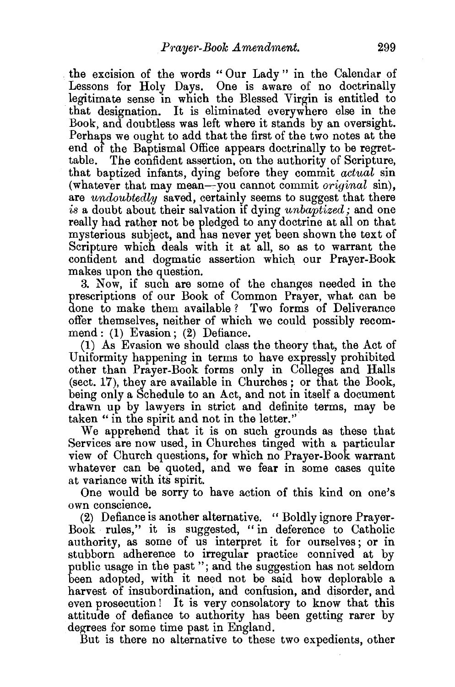. the excision of the words " Our Lady " in the Calendar of Lessons for Holy Days. One is aware of no doctrinally legitimate sense in which the Blessed Virgin is entitled to that designation. It is eliminated everywhere else in the Book, and doubtless was left where it stands by an oversight. Perhaps we ought to add that the first of the two notes at the end of the Baptismal Office appears doctrinally to be regrettable. The confident assertion, on the authority of Scripture, that baptized infants, dying before they commit *actual* sin (whatever that may mean-you cannot commit *original* sin), are *undoubtedly* saved, certainly seems to suggest that there *is* a doubt about their salvation if dying *unbaptized;* and one really had rather not be pledged to any doctrine at all on that mysterious subject, and has never yet been shown the text of Scripture which deals with it at all, so as to warrant the confident and dogmatic assertion which, our Prayer-Book makes upon the question.

3. Now, if such are some of the changes needed in the prescriptions of our Book of Common Prayer, what. can be done to make them available ? Two forms of Deliverance offer themselves, neither of which we could possibly recommend: (1) Evasion; (2) Defiance.

(1) As Evasion we should class the theory that, the Act of Uniformity happening in terms to have expressly prohibited other than Prayer-Book forms only in Colleges and Halls (sect. 17), they are available in Churches; or that the Book, being only a Schedule to an Act, and not in itself a document drawn up by lawyers in strict and definite terms, may be taken "in the spirit and not in the letter."

We apprehend that it is on such grounds as these that Services are now used, in Churches tinged with a particular view of Church questions, for which no Prayer-Book warrant whatever can be quoted, and we fear in some cases quite at variance with its spirit.

One would be sorry to have action of this kind on one's own conscience.

(2) Defiance is another alternative. "Boldly ignore Prayer-Book rules," it is suggested, "in deference to Catholic authority, as some of us interpret it for ourselves; or in stubborn adherence to irregular practice connived at by public usage in the past "; and the suggestion has not seldom been adopted, with it need not be said bow deplorable a harvest of insubordination, and confusion, and disorder, and even prosecution! It is very consolatory to know that this attitude of defiance to authority has been getting rarer by degrees for some time past in England.

But is there no alternative to these two expedients, other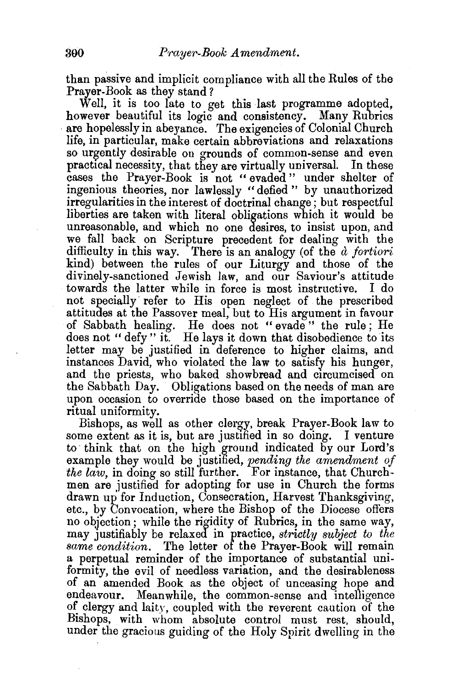than passive and implicit compliance with all the Rules of the Prayer-Book as they stand?

Well, it is too late to get this last programme adopted, however beautiful its logic and consistency. Many Rubrics are hopelessly in abeyance. The exigencies of Colonial Church life, in particular, make certain abbreviations and relaxations so urgently desirable on grounds of common-sense and even practical necessity, that they are virtually universal. In these cases the Prayer-Book is not "evaded" under shelter of ingenious theories, nor lawlessly "defied " by unauthorized irregularities in the interest of doctrinal change; but respectful liberties are taken with literal obligations which it would be unreasonable, and which no one desires, to insist upon, and we fall back on Scripture precedent for dealing with the difficulty in this way. There is an analogy (of the *a fortiori*  kind) between the rules of our Liturgy and those of the divinely-sanctioned Jewish Jaw, and our Saviour's attitude towards the latter while in force is most instructive. I do not specially refer to His open neglect of the prescribed attitudes at the Passover meal, but to His argument in favour of Sabbath healing. He does not "evade '' the rule; He does not " defy " it. He lays it down that disobedience to its letter may be justified in deference to higher claims, and instances David, who violated the law to satisfy his hunger, and the priests, who baked showbread and circumcised on the Sabbath Day. Obligations based on the needs of man are upon occasion to override those based on the importance of ritual uniformity.

Bishops, as well as other clergy, break Prayer-Book law to some extent as it is, but are justified in so doing. I venture to think that on the high ground indicated by our Lord's example they would be justified, *pending the amendment of the law,* in doing so still further. For instance, that Churchmen are justified for adopting for use in Church the forms drawn up' for Induction, Consecration, Harvest Thanksgiving, etc., by Convocation, where the Bishop of the Diocese offers no objection; while the rigidity of Rubrics, in the same way, may JUStifiably be relaxed in practice, *strictly subject to the same condition.* The letter of the Prayer-Book will remain a perpetual reminder of the importance of substantial uniformity, the evil of needless variation, and the desirableness of an amended Book as the object of unceasing hope and endeavour. Meanwhile, the common-sense and intelligence of clergy and laity, coupled with the reverent caution of the Bishops, with whom absolute control must rest, should, under the gracious guiding of the Holy Spirit dwelling in the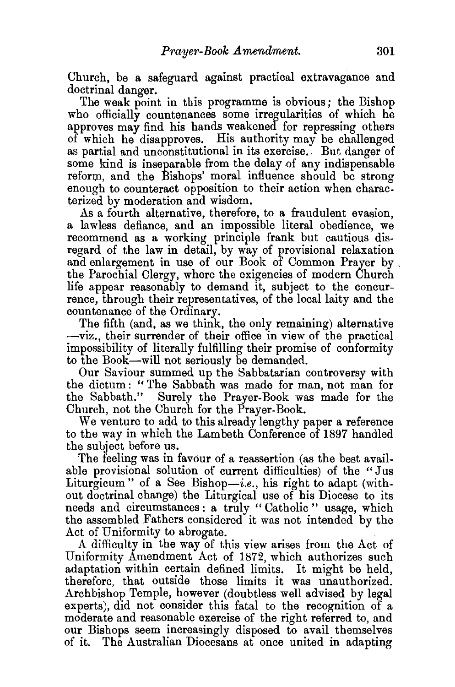Church, be a safeguard against practical extravagance and doctrinal danger.

The weak point in this programme is obvious; the Bishop who officially countenances some irregularities of which he approves may find his hands weakened for repressing others of which he disapproves. His authority may be challenged as partial and unconstitutional in its exercise.. But danger of some kind is inseparable from the delay of any indispensable reform, and the Bishops' moral influence should be strong enough to counteract opposition to their action when characterized by moderation and wisdom.

As a fourth alternative, therefore, to a fraudulent evasion, a lawless defiance, and an impossible literal obedience, we recommend as a working principle frank but cautious disregard of the law in detail, by way of provisional relaxation<br>and enlargement in use of our Book of Common Prayer by the Parochial Clergy, where the exigencies of modern Church life appear reasonably to demand it, subject to the concurrence, through their representatives, of the local laity and the countenance of the Ordinary.

The fifth (and, as we think, the only remaining) alternative -viz., their surrender of their office in view of the practical impossibility of literally fulfilling their promise of conformity to the Book-will not seriously be demanded.

Our Saviour summed up the Sabbatarian controversy with the dictum: "The Sabbath was made for man, not man for the Sabbath." Surely the Prayer-Book was made for the Church, not the Church for the Prayer-Book.

We venture to add to this already lengthy paper a reference to the way in which the Lambeth Conference of 1897 handled the subject before us.

The feeling was in favour of a reassertion (as the best available provisional solution of current difficulties) of the "Jus Liturgicum" of a See Bishop-i.e., his right to adapt (without doctrinal change) the Liturgical use of his Diocese to its needs and circumstances: a truly "Catholic" usage, which the assembled Fathers considered it was not intended by the Act of Uniformity to abrogate.

A difficulty in the way of this view arises from the Act of Uniformity Amendment Act of 1872, which authorizes such adaptation within certain defined limits. It might be held, therefore, that outside those limits it was unauthorized. Archbishop Temple, however (doubtless well advised by legal experts), did not consider this fatal to the recognition of a moderate and reasonable exercise of the right referred to, and our Bishops seem increasingly disposed to avail themselves of it. The Australian Diocesans at once united in adapting